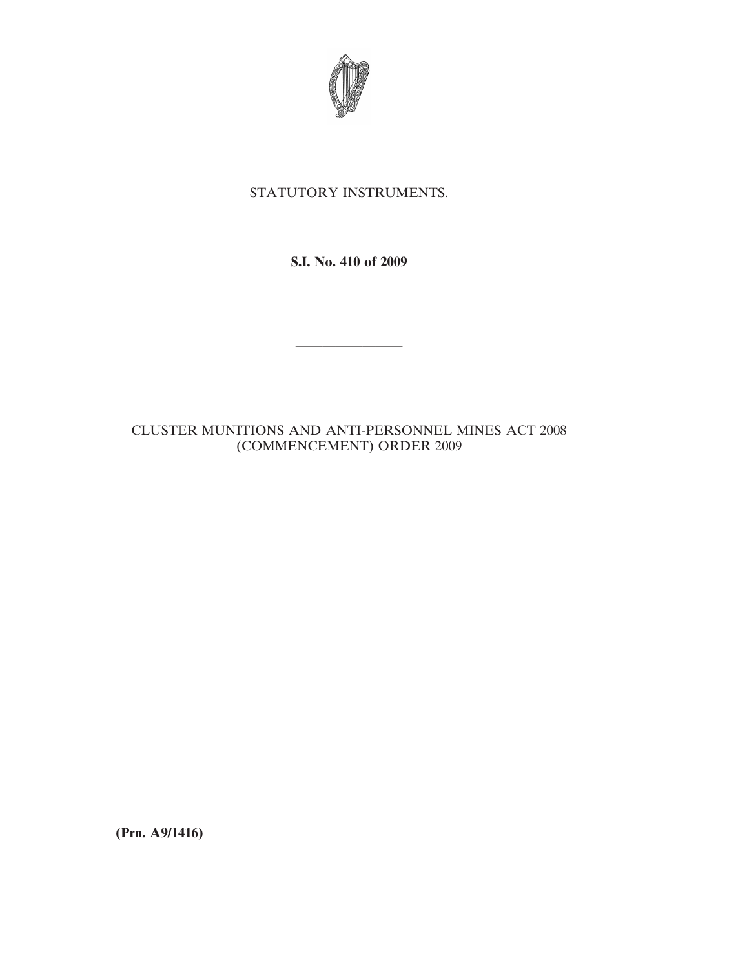

## STATUTORY INSTRUMENTS.

**S.I. No. 410 of 2009**

————————

## CLUSTER MUNITIONS AND ANTI-PERSONNEL MINES ACT 2008 (COMMENCEMENT) ORDER 2009

**(Prn. A9/1416)**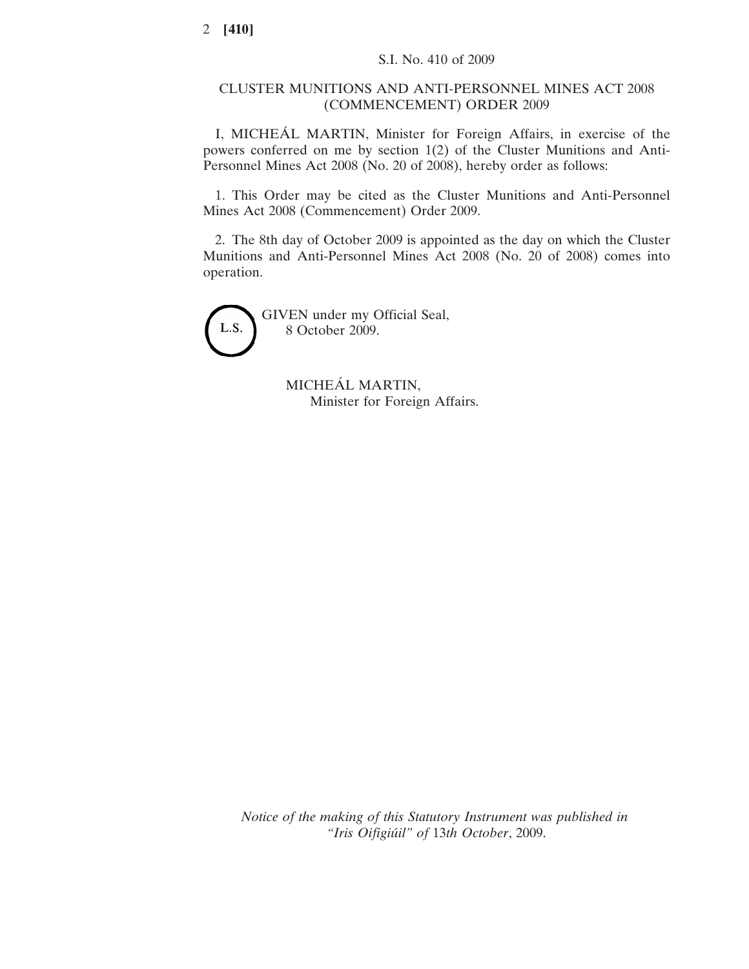## CLUSTER MUNITIONS AND ANTI-PERSONNEL MINES ACT 2008 (COMMENCEMENT) ORDER 2009

I, MICHEÁL MARTIN, Minister for Foreign Affairs, in exercise of the powers conferred on me by section 1(2) of the Cluster Munitions and Anti-Personnel Mines Act 2008 (No. 20 of 2008), hereby order as follows:

1. This Order may be cited as the Cluster Munitions and Anti-Personnel Mines Act 2008 (Commencement) Order 2009.

2. The 8th day of October 2009 is appointed as the day on which the Cluster Munitions and Anti-Personnel Mines Act 2008 (No. 20 of 2008) comes into operation.



GIVEN under my Official Seal, 8 October 2009.

> MICHEÁL MARTIN, Minister for Foreign Affairs.

*Notice of the making of this Statutory Instrument was published in "Iris Oifigiu´il" of* 13*th October*, 2009.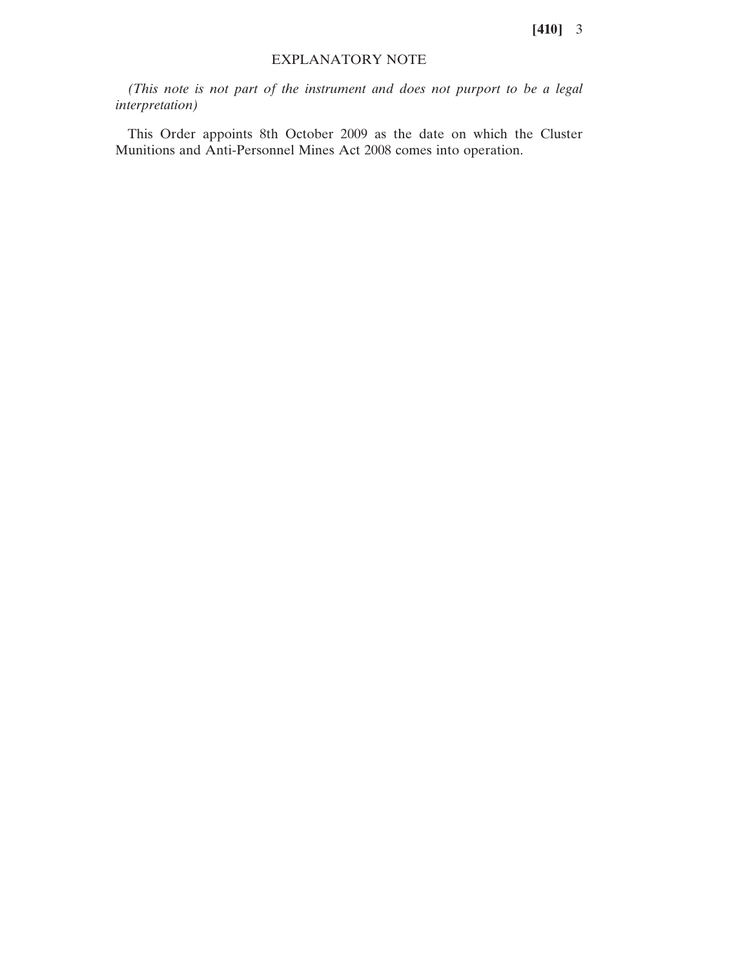## EXPLANATORY NOTE

*(This note is not part of the instrument and does not purport to be a legal interpretation)*

This Order appoints 8th October 2009 as the date on which the Cluster Munitions and Anti-Personnel Mines Act 2008 comes into operation.